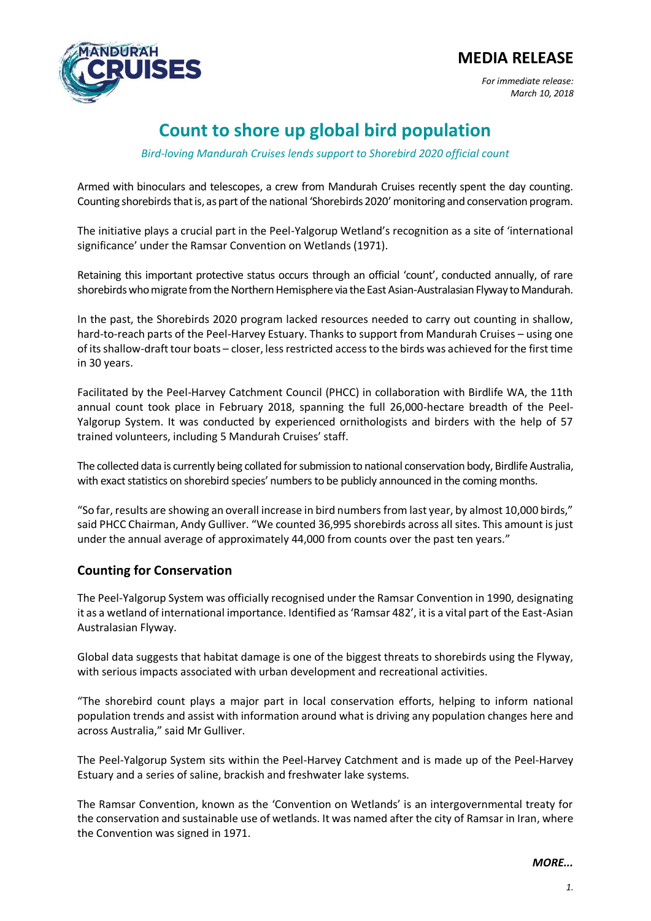## **MEDIA RELEASE**



*For immediate release: March 10, 2018* 

# **Count to shore up global bird population**

*Bird-loving Mandurah Cruises lends support to Shorebird 2020 official count* 

Armed with binoculars and telescopes, a crew from Mandurah Cruises recently spent the day counting. Counting shorebirds that is, as part of the national 'Shorebirds 2020' monitoring and conservation program.

The initiative plays a crucial part in the Peel-Yalgorup Wetland's recognition as a site of 'international significance' under the Ramsar Convention on Wetlands (1971).

Retaining this important protective status occurs through an official 'count', conducted annually, of rare shorebirds who migrate from the Northern Hemisphere via the East Asian-Australasian Flyway to Mandurah.

In the past, the Shorebirds 2020 program lacked resources needed to carry out counting in shallow, hard-to-reach parts of the Peel-Harvey Estuary. Thanks to support from Mandurah Cruises – using one of its shallow-draft tour boats – closer, less restricted access to the birds was achieved for the first time in 30 years.

Facilitated by the Peel-Harvey Catchment Council (PHCC) in collaboration with Birdlife WA, the 11th annual count took place in February 2018, spanning the full 26,000-hectare breadth of the Peel-Yalgorup System. It was conducted by experienced ornithologists and birders with the help of 57 trained volunteers, including 5 Mandurah Cruises' staff.

The collected data is currently being collated for submission to national conservation body, Birdlife Australia, with exact statistics on shorebird species' numbers to be publicly announced in the coming months.

"So far, results are showing an overall increase in bird numbers from last year, by almost 10,000 birds," said PHCC Chairman, Andy Gulliver. "We counted 36,995 shorebirds across all sites. This amount is just under the annual average of approximately 44,000 from counts over the past ten years."

### **Counting for Conservation**

The Peel-Yalgorup System was officially recognised under the Ramsar Convention in 1990, designating it as a wetland of international importance. Identified as 'Ramsar 482', it is a vital part of the East-Asian Australasian Flyway.

Global data suggests that habitat damage is one of the biggest threats to shorebirds using the Flyway, with serious impacts associated with urban development and recreational activities.

"The shorebird count plays a major part in local conservation efforts, helping to inform national population trends and assist with information around what is driving any population changes here and across Australia," said Mr Gulliver.

The Peel-Yalgorup System sits within the Peel-Harvey Catchment and is made up of the Peel-Harvey Estuary and a series of saline, brackish and freshwater lake systems.

The Ramsar Convention, known as the 'Convention on Wetlands' is an intergovernmental treaty for the conservation and sustainable use of wetlands. It was named after the city of Ramsar in Iran, where the Convention was signed in 1971.

*MORE...*